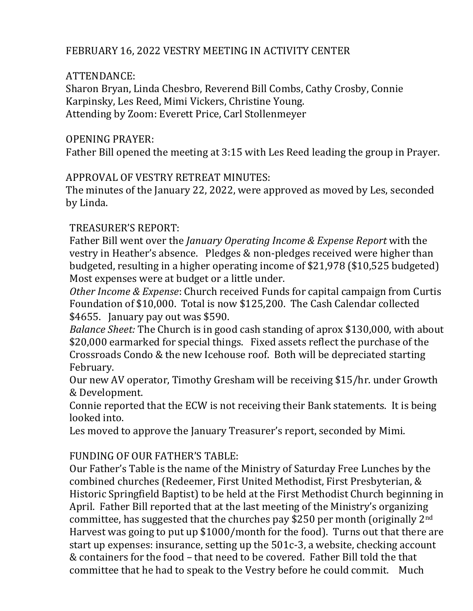## FEBRUARY 16, 2022 VESTRY MEETING IN ACTIVITY CENTER

## ATTENDANCE:

Sharon Bryan, Linda Chesbro, Reverend Bill Combs, Cathy Crosby, Connie Karpinsky, Les Reed, Mimi Vickers, Christine Young. Attending by Zoom: Everett Price, Carl Stollenmeyer

## OPENING PRAYER:

Father Bill opened the meeting at 3:15 with Les Reed leading the group in Prayer.

## APPROVAL OF VESTRY RETREAT MINUTES:

The minutes of the January 22, 2022, were approved as moved by Les, seconded by Linda.

## TREASURER'S REPORT:

Father Bill went over the *January Operating Income & Expense Report* with the vestry in Heather's absence. Pledges & non-pledges received were higher than budgeted, resulting in a higher operating income of \$21,978 (\$10,525 budgeted) Most expenses were at budget or a little under.

*Other Income & Expense*: Church received Funds for capital campaign from Curtis Foundation of \$10,000. Total is now \$125,200. The Cash Calendar collected \$4655. January pay out was \$590.

*Balance Sheet:* The Church is in good cash standing of aprox \$130,000, with about \$20,000 earmarked for special things. Fixed assets reflect the purchase of the Crossroads Condo & the new Icehouse roof. Both will be depreciated starting February.

Our new AV operator, Timothy Gresham will be receiving \$15/hr. under Growth & Development.

Connie reported that the ECW is not receiving their Bank statements. It is being looked into.

Les moved to approve the January Treasurer's report, seconded by Mimi.

# FUNDING OF OUR FATHER'S TABLE:

Our Father's Table is the name of the Ministry of Saturday Free Lunches by the combined churches (Redeemer, First United Methodist, First Presbyterian, & Historic Springfield Baptist) to be held at the First Methodist Church beginning in April. Father Bill reported that at the last meeting of the Ministry's organizing committee, has suggested that the churches pay \$250 per month (originally  $2^{nd}$ ) Harvest was going to put up \$1000/month for the food). Turns out that there are start up expenses: insurance, setting up the 501c-3, a website, checking account & containers for the food – that need to be covered. Father Bill told the that committee that he had to speak to the Vestry before he could commit. Much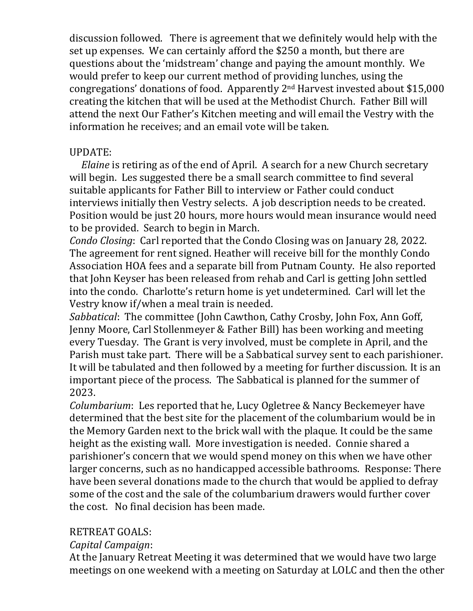discussion followed. There is agreement that we definitely would help with the set up expenses. We can certainly afford the \$250 a month, but there are questions about the 'midstream' change and paying the amount monthly. We would prefer to keep our current method of providing lunches, using the congregations' donations of food. Apparently 2nd Harvest invested about \$15,000 creating the kitchen that will be used at the Methodist Church. Father Bill will attend the next Our Father's Kitchen meeting and will email the Vestry with the information he receives; and an email vote will be taken.

#### UPDATE:

 *Elaine* is retiring as of the end of April. A search for a new Church secretary will begin. Les suggested there be a small search committee to find several suitable applicants for Father Bill to interview or Father could conduct interviews initially then Vestry selects. A job description needs to be created. Position would be just 20 hours, more hours would mean insurance would need to be provided. Search to begin in March.

*Condo Closing*: Carl reported that the Condo Closing was on January 28, 2022. The agreement for rent signed. Heather will receive bill for the monthly Condo Association HOA fees and a separate bill from Putnam County. He also reported that John Keyser has been released from rehab and Carl is getting John settled into the condo. Charlotte's return home is yet undetermined. Carl will let the Vestry know if/when a meal train is needed.

*Sabbatical*: The committee (John Cawthon, Cathy Crosby, John Fox, Ann Goff, Jenny Moore, Carl Stollenmeyer & Father Bill) has been working and meeting every Tuesday. The Grant is very involved, must be complete in April, and the Parish must take part. There will be a Sabbatical survey sent to each parishioner. It will be tabulated and then followed by a meeting for further discussion. It is an important piece of the process. The Sabbatical is planned for the summer of 2023.

*Columbarium*: Les reported that he, Lucy Ogletree & Nancy Beckemeyer have determined that the best site for the placement of the columbarium would be in the Memory Garden next to the brick wall with the plaque. It could be the same height as the existing wall. More investigation is needed. Connie shared a parishioner's concern that we would spend money on this when we have other larger concerns, such as no handicapped accessible bathrooms. Response: There have been several donations made to the church that would be applied to defray some of the cost and the sale of the columbarium drawers would further cover the cost. No final decision has been made.

### RETREAT GOALS:

### *Capital Campaign*:

At the January Retreat Meeting it was determined that we would have two large meetings on one weekend with a meeting on Saturday at LOLC and then the other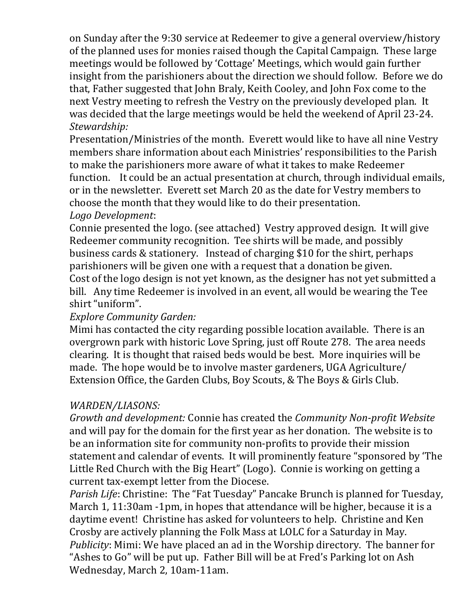on Sunday after the 9:30 service at Redeemer to give a general overview/history of the planned uses for monies raised though the Capital Campaign. These large meetings would be followed by 'Cottage' Meetings, which would gain further insight from the parishioners about the direction we should follow. Before we do that, Father suggested that John Braly, Keith Cooley, and John Fox come to the next Vestry meeting to refresh the Vestry on the previously developed plan. It was decided that the large meetings would be held the weekend of April 23-24. *Stewardship:* 

Presentation/Ministries of the month. Everett would like to have all nine Vestry members share information about each Ministries' responsibilities to the Parish to make the parishioners more aware of what it takes to make Redeemer function. It could be an actual presentation at church, through individual emails, or in the newsletter. Everett set March 20 as the date for Vestry members to choose the month that they would like to do their presentation. *Logo Development*:

Connie presented the logo. (see attached) Vestry approved design. It will give Redeemer community recognition. Tee shirts will be made, and possibly business cards & stationery. Instead of charging \$10 for the shirt, perhaps parishioners will be given one with a request that a donation be given.

Cost of the logo design is not yet known, as the designer has not yet submitted a bill. Any time Redeemer is involved in an event, all would be wearing the Tee shirt "uniform".

### *Explore Community Garden:*

Mimi has contacted the city regarding possible location available. There is an overgrown park with historic Love Spring, just off Route 278. The area needs clearing. It is thought that raised beds would be best. More inquiries will be made. The hope would be to involve master gardeners, UGA Agriculture/ Extension Office, the Garden Clubs, Boy Scouts, & The Boys & Girls Club.

### *WARDEN/LIASONS:*

*Growth and development:* Connie has created the *Community Non-profit Website* and will pay for the domain for the first year as her donation. The website is to be an information site for community non-profits to provide their mission statement and calendar of events. It will prominently feature "sponsored by 'The Little Red Church with the Big Heart" (Logo). Connie is working on getting a current tax-exempt letter from the Diocese.

*Parish Life*: Christine: The "Fat Tuesday" Pancake Brunch is planned for Tuesday, March 1, 11:30am -1pm, in hopes that attendance will be higher, because it is a daytime event! Christine has asked for volunteers to help. Christine and Ken Crosby are actively planning the Folk Mass at LOLC for a Saturday in May. *Publicity*: Mimi: We have placed an ad in the Worship directory. The banner for "Ashes to Go" will be put up. Father Bill will be at Fred's Parking lot on Ash Wednesday, March 2, 10am-11am.